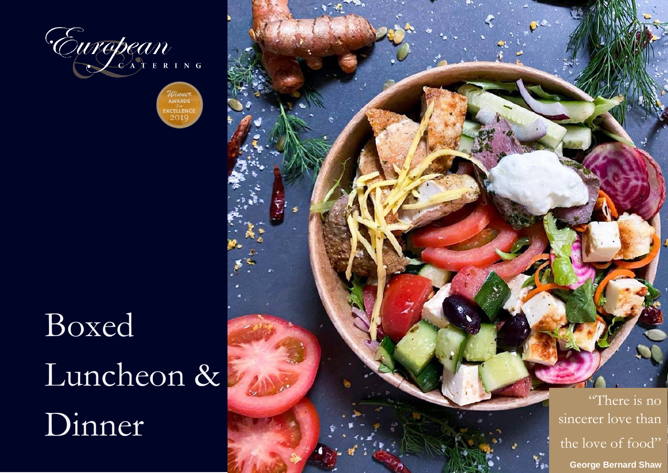

**AWARDS EXCELLENCE**  $201$ 

## Boxed Luncheon & Dinner